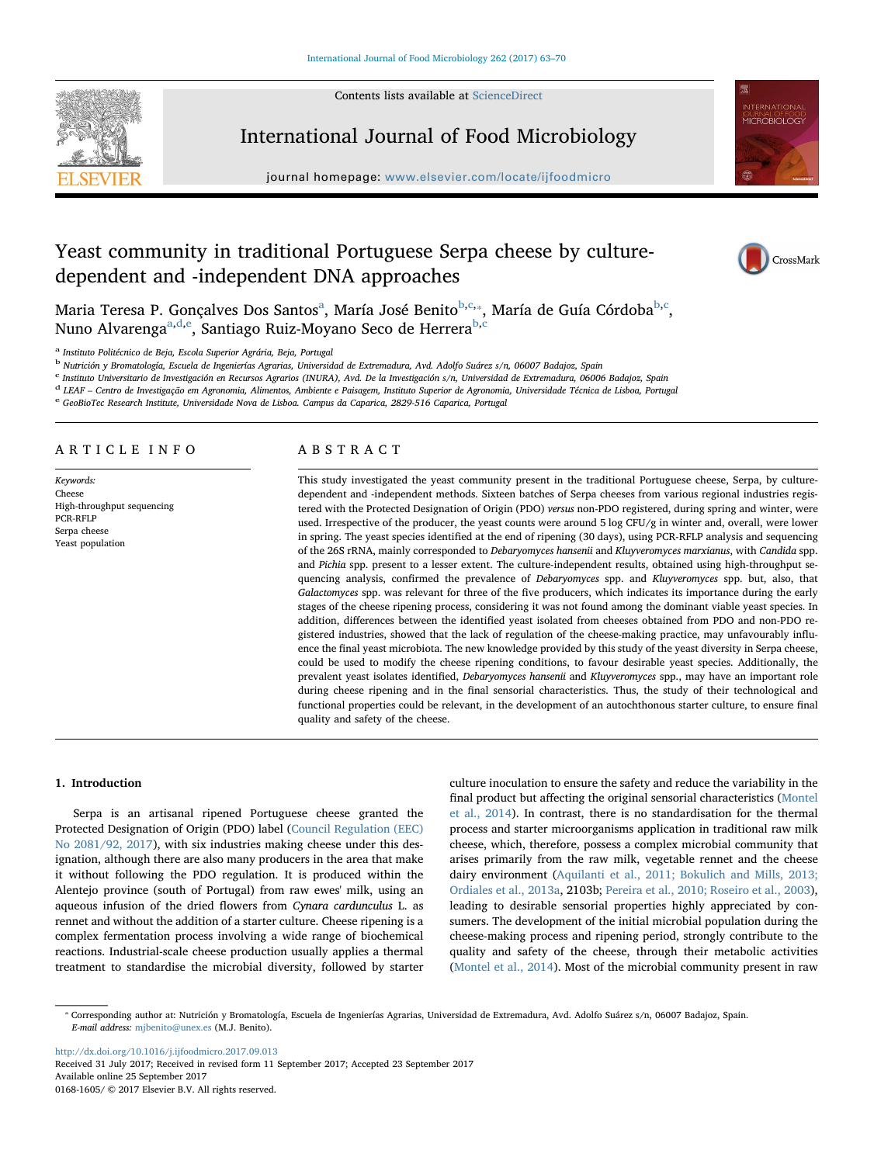Contents lists available at [ScienceDirect](http://www.sciencedirect.com/science/journal/01681605)



**NTERNATIONAL VICROBIOLOGY** 

## International Journal of Food Microbiology

journal homepage: [www.elsevier.com/locate/ijfoodmicro](https://www.elsevier.com/locate/ijfoodmicro)

# Yeast community in traditional Portuguese Serpa cheese by culturedependent and -independent DNA approaches



M[a](#page-0-0)ria Teresa P. Gonçalves Dos Santos<sup>a</sup>, María José Benito<sup>[b,](#page-0-1)[c,](#page-0-2)</sup>\*, María de Guía Córdo[b](#page-0-1)a<sup>b[,c](#page-0-2)</sup>, Nuno Alv[a](#page-0-0)renga<sup>a[,d,](#page-0-4)[e](#page-0-5)</sup>, Santiago Ruiz-Moyano Se[c](#page-0-2)o de Herrera<sup>b,c</sup>

<span id="page-0-0"></span><sup>a</sup> Instituto Politécnico de Beja, Escola Superior Agrária, Beja, Portugal

<span id="page-0-1"></span><sup>b</sup> Nutrición y Bromatología, Escuela de Ingenierías Agrarias, Universidad de Extremadura, Avd. Adolfo Suárez s/n, 06007 Badajoz, Spain

<span id="page-0-2"></span><sup>c</sup> Instituto Universitario de Investigación en Recursos Agrarios (INURA), Avd. De la Investigación s/n, Universidad de Extremadura, 06006 Badajoz, Spain

<span id="page-0-5"></span><span id="page-0-4"></span><sup>d</sup> LEAF – Centro de Investigação em Agronomia, Alimentos, Ambiente e Paisagem, Instituto Superior de Agronomia, Universidade Técnica de Lisboa, Portugal<br><sup>e</sup> GeoBioTec Research Institute, Universidade Nova de Lisboa. Campu

### ARTICLE INFO

Keywords: Cheese High-throughput sequencing PCR-RFLP Serpa cheese Yeast population

## ABSTRACT

This study investigated the yeast community present in the traditional Portuguese cheese, Serpa, by culturedependent and -independent methods. Sixteen batches of Serpa cheeses from various regional industries registered with the Protected Designation of Origin (PDO) versus non-PDO registered, during spring and winter, were used. Irrespective of the producer, the yeast counts were around 5 log CFU/g in winter and, overall, were lower in spring. The yeast species identified at the end of ripening (30 days), using PCR-RFLP analysis and sequencing of the 26S rRNA, mainly corresponded to Debaryomyces hansenii and Kluyveromyces marxianus, with Candida spp. and Pichia spp. present to a lesser extent. The culture-independent results, obtained using high-throughput sequencing analysis, confirmed the prevalence of Debaryomyces spp. and Kluyveromyces spp. but, also, that Galactomyces spp. was relevant for three of the five producers, which indicates its importance during the early stages of the cheese ripening process, considering it was not found among the dominant viable yeast species. In addition, differences between the identified yeast isolated from cheeses obtained from PDO and non-PDO registered industries, showed that the lack of regulation of the cheese-making practice, may unfavourably influence the final yeast microbiota. The new knowledge provided by this study of the yeast diversity in Serpa cheese, could be used to modify the cheese ripening conditions, to favour desirable yeast species. Additionally, the prevalent yeast isolates identified, Debaryomyces hansenii and Kluyveromyces spp., may have an important role during cheese ripening and in the final sensorial characteristics. Thus, the study of their technological and functional properties could be relevant, in the development of an autochthonous starter culture, to ensure final quality and safety of the cheese.

### 1. Introduction

Serpa is an artisanal ripened Portuguese cheese granted the Protected Designation of Origin (PDO) label ([Council Regulation \(EEC\)](#page-6-0) [No 2081/92, 2017](#page-6-0)), with six industries making cheese under this designation, although there are also many producers in the area that make it without following the PDO regulation. It is produced within the Alentejo province (south of Portugal) from raw ewes' milk, using an aqueous infusion of the dried flowers from Cynara cardunculus L. as rennet and without the addition of a starter culture. Cheese ripening is a complex fermentation process involving a wide range of biochemical reactions. Industrial-scale cheese production usually applies a thermal treatment to standardise the microbial diversity, followed by starter culture inoculation to ensure the safety and reduce the variability in the final product but affecting the original sensorial characteristics ([Montel](#page-7-0) [et al., 2014\)](#page-7-0). In contrast, there is no standardisation for the thermal process and starter microorganisms application in traditional raw milk cheese, which, therefore, possess a complex microbial community that arises primarily from the raw milk, vegetable rennet and the cheese dairy environment ([Aquilanti et al., 2011; Bokulich and Mills, 2013;](#page-6-1) [Ordiales et al., 2013a,](#page-6-1) 2103b; [Pereira et al., 2010; Roseiro et al., 2003](#page-7-1)), leading to desirable sensorial properties highly appreciated by consumers. The development of the initial microbial population during the cheese-making process and ripening period, strongly contribute to the quality and safety of the cheese, through their metabolic activities ([Montel et al., 2014](#page-7-0)). Most of the microbial community present in raw

<http://dx.doi.org/10.1016/j.ijfoodmicro.2017.09.013> Received 31 July 2017; Received in revised form 11 September 2017; Accepted 23 September 2017

Available online 25 September 2017 0168-1605/ © 2017 Elsevier B.V. All rights reserved.

<span id="page-0-3"></span><sup>⁎</sup> Corresponding author at: Nutrición y Bromatología, Escuela de Ingenierías Agrarias, Universidad de Extremadura, Avd. Adolfo Suárez s/n, 06007 Badajoz, Spain. E-mail address: [mjbenito@unex.es](mailto:mjbenito@unex.es) (M.J. Benito).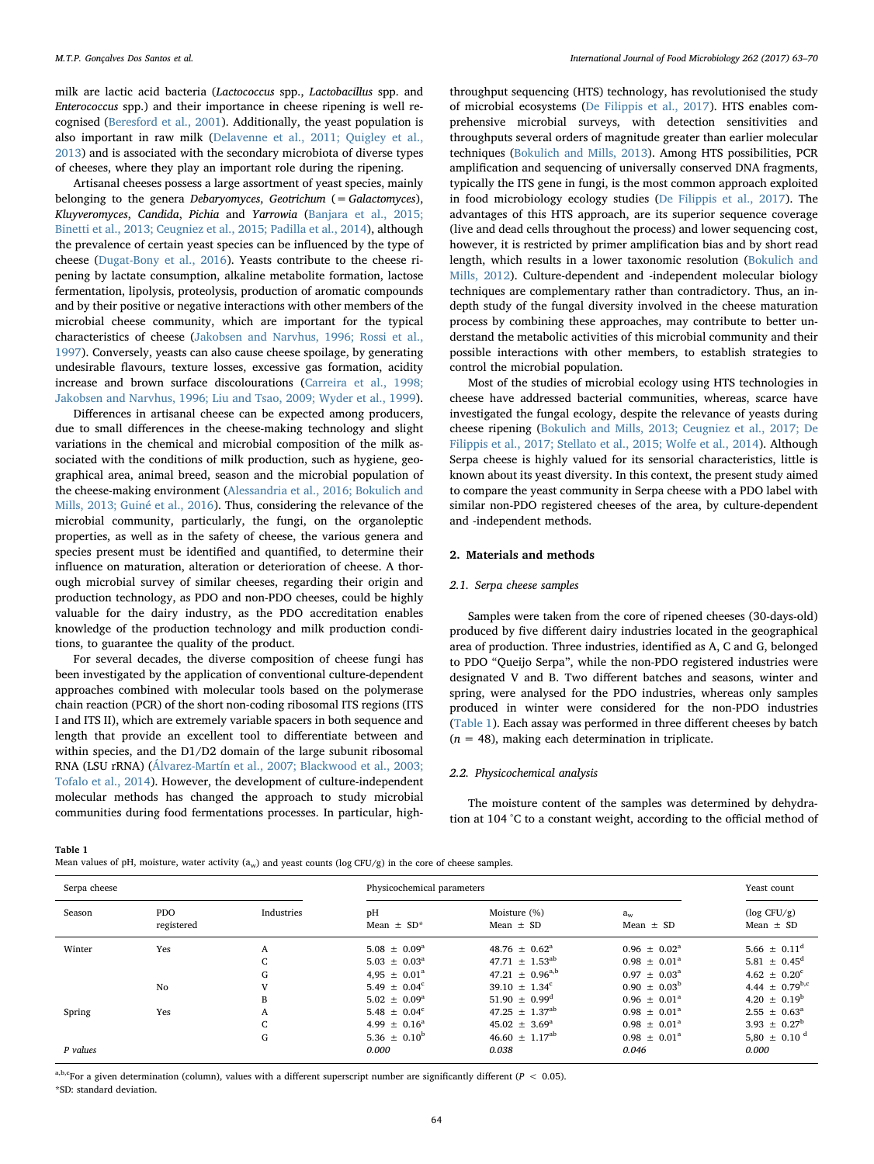milk are lactic acid bacteria (Lactococcus spp., Lactobacillus spp. and Enterococcus spp.) and their importance in cheese ripening is well recognised [\(Beresford et al., 2001\)](#page-6-2). Additionally, the yeast population is also important in raw milk [\(Delavenne et al., 2011; Quigley et al.,](#page-6-3) [2013\)](#page-6-3) and is associated with the secondary microbiota of diverse types of cheeses, where they play an important role during the ripening.

Artisanal cheeses possess a large assortment of yeast species, mainly belonging to the genera Debaryomyces, Geotrichum (= Galactomyces), Kluyveromyces, Candida, Pichia and Yarrowia [\(Banjara et al., 2015;](#page-6-4) [Binetti et al., 2013; Ceugniez et al., 2015; Padilla et al., 2014](#page-6-4)), although the prevalence of certain yeast species can be influenced by the type of cheese [\(Dugat-Bony et al., 2016\)](#page-6-5). Yeasts contribute to the cheese ripening by lactate consumption, alkaline metabolite formation, lactose fermentation, lipolysis, proteolysis, production of aromatic compounds and by their positive or negative interactions with other members of the microbial cheese community, which are important for the typical characteristics of cheese ([Jakobsen and Narvhus, 1996; Rossi et al.,](#page-7-2) [1997\)](#page-7-2). Conversely, yeasts can also cause cheese spoilage, by generating undesirable flavours, texture losses, excessive gas formation, acidity increase and brown surface discolourations ([Carreira et al., 1998;](#page-6-6) [Jakobsen and Narvhus, 1996; Liu and Tsao, 2009; Wyder et al., 1999](#page-6-6)).

Differences in artisanal cheese can be expected among producers, due to small differences in the cheese-making technology and slight variations in the chemical and microbial composition of the milk associated with the conditions of milk production, such as hygiene, geographical area, animal breed, season and the microbial population of the cheese-making environment [\(Alessandria et al., 2016; Bokulich and](#page-6-7) [Mills, 2013; Guiné et al., 2016\)](#page-6-7). Thus, considering the relevance of the microbial community, particularly, the fungi, on the organoleptic properties, as well as in the safety of cheese, the various genera and species present must be identified and quantified, to determine their influence on maturation, alteration or deterioration of cheese. A thorough microbial survey of similar cheeses, regarding their origin and production technology, as PDO and non-PDO cheeses, could be highly valuable for the dairy industry, as the PDO accreditation enables knowledge of the production technology and milk production conditions, to guarantee the quality of the product.

For several decades, the diverse composition of cheese fungi has been investigated by the application of conventional culture-dependent approaches combined with molecular tools based on the polymerase chain reaction (PCR) of the short non-coding ribosomal ITS regions (ITS I and ITS II), which are extremely variable spacers in both sequence and length that provide an excellent tool to differentiate between and within species, and the D1/D2 domain of the large subunit ribosomal RNA (LSU rRNA) ([Álvarez-Martín et al., 2007; Blackwood et al., 2003;](#page-6-8) [Tofalo et al., 2014\)](#page-6-8). However, the development of culture-independent molecular methods has changed the approach to study microbial communities during food fermentations processes. In particular, high-

throughput sequencing (HTS) technology, has revolutionised the study of microbial ecosystems [\(De Filippis et al., 2017\)](#page-6-9). HTS enables comprehensive microbial surveys, with detection sensitivities and throughputs several orders of magnitude greater than earlier molecular techniques ([Bokulich and Mills, 2013\)](#page-6-10). Among HTS possibilities, PCR amplification and sequencing of universally conserved DNA fragments, typically the ITS gene in fungi, is the most common approach exploited in food microbiology ecology studies [\(De Filippis et al., 2017](#page-6-9)). The advantages of this HTS approach, are its superior sequence coverage (live and dead cells throughout the process) and lower sequencing cost, however, it is restricted by primer amplification bias and by short read length, which results in a lower taxonomic resolution [\(Bokulich and](#page-6-11) [Mills, 2012\)](#page-6-11). Culture-dependent and -independent molecular biology techniques are complementary rather than contradictory. Thus, an indepth study of the fungal diversity involved in the cheese maturation process by combining these approaches, may contribute to better understand the metabolic activities of this microbial community and their possible interactions with other members, to establish strategies to control the microbial population.

Most of the studies of microbial ecology using HTS technologies in cheese have addressed bacterial communities, whereas, scarce have investigated the fungal ecology, despite the relevance of yeasts during cheese ripening ([Bokulich and Mills, 2013; Ceugniez et al., 2017; De](#page-6-10) [Filippis et al., 2017; Stellato et al., 2015; Wolfe et al., 2014](#page-6-10)). Although Serpa cheese is highly valued for its sensorial characteristics, little is known about its yeast diversity. In this context, the present study aimed to compare the yeast community in Serpa cheese with a PDO label with similar non-PDO registered cheeses of the area, by culture-dependent and -independent methods.

### 2. Materials and methods

### 2.1. Serpa cheese samples

Samples were taken from the core of ripened cheeses (30-days-old) produced by five different dairy industries located in the geographical area of production. Three industries, identified as A, C and G, belonged to PDO "Queijo Serpa", while the non-PDO registered industries were designated V and B. Two different batches and seasons, winter and spring, were analysed for the PDO industries, whereas only samples produced in winter were considered for the non-PDO industries ([Table 1\)](#page-1-0). Each assay was performed in three different cheeses by batch  $(n = 48)$ , making each determination in triplicate.

### 2.2. Physicochemical analysis

The moisture content of the samples was determined by dehydration at 104 °C to a constant weight, according to the official method of

<span id="page-1-0"></span>Table 1

Mean values of pH, moisture, water activity  $(a_w)$  and yeast counts (log CFU/g) in the core of cheese samples.

| Serpa cheese |                          |             | Physicochemical parameters                                                                   | Yeast count                                                                 |                                                                       |                                                                                         |
|--------------|--------------------------|-------------|----------------------------------------------------------------------------------------------|-----------------------------------------------------------------------------|-----------------------------------------------------------------------|-----------------------------------------------------------------------------------------|
| Season       | <b>PDO</b><br>registered | Industries  | pH<br>Mean $\pm$ SD*                                                                         | Moisture (%)<br>Mean $\pm$ SD                                               | $a_w$<br>Mean $\pm$ SD                                                | $(\log CFU/g)$<br>Mean $\pm$ SD                                                         |
| Winter       | Yes                      | A<br>C<br>G | $5.08 \pm 0.09^{\circ}$<br>$5.03 \pm 0.03^{\circ}$<br>4,95 $\pm$ 0.01 <sup>a</sup>           | $48.76 \pm 0.62^{\circ}$<br>$47.71 \pm 1.53^{ab}$<br>$47.21 \pm 0.96^{a,b}$ | $0.96 \pm 0.02^{\circ}$<br>$0.98 \pm 0.01^a$<br>$0.97 + 0.03^{\circ}$ | 5.66 $\pm$ 0.11 <sup>d</sup><br>$5.81 \pm 0.45^{\circ}$<br>$4.62 \pm 0.20^{\circ}$      |
|              | No                       | V<br>B      | 5.49 $\pm$ 0.04 <sup>c</sup><br>$5.02 \pm 0.09^{\rm a}$                                      | 39.10 $\pm$ 1.34 <sup>c</sup><br>$51.90 \pm 0.99^{\mathrm{d}}$              | $0.90 \pm 0.03^b$<br>$0.96 \pm 0.01^a$                                | 4.44 $\pm$ 0.79 <sup>b,c</sup><br>$4.20 \pm 0.19^{\rm b}$                               |
| Spring       | Yes                      | A<br>C<br>G | 5.48 $\pm$ 0.04 <sup>c</sup><br>4.99 $\pm$ 0.16 <sup>a</sup><br>5.36 $\pm$ 0.10 <sup>b</sup> | $47.25 \pm 1.37^{ab}$<br>$45.02 \pm 3.69^{\circ}$<br>$46.60 \pm 1.17^{ab}$  | $0.98 \pm 0.01^a$<br>$0.98 \pm 0.01^a$<br>$0.98 \pm 0.01^a$           | $2.55 \pm 0.63^{\circ}$<br>3.93 $\pm$ 0.27 <sup>b</sup><br>5,80 $\pm$ 0.10 <sup>d</sup> |
| P values     |                          |             | 0.000                                                                                        | 0.038                                                                       | 0.046                                                                 | 0.000                                                                                   |

a,b,c<sub>For</sub> a given determination (column), values with a different superscript number are significantly different ( $P < 0.05$ ).

\*SD: standard deviation.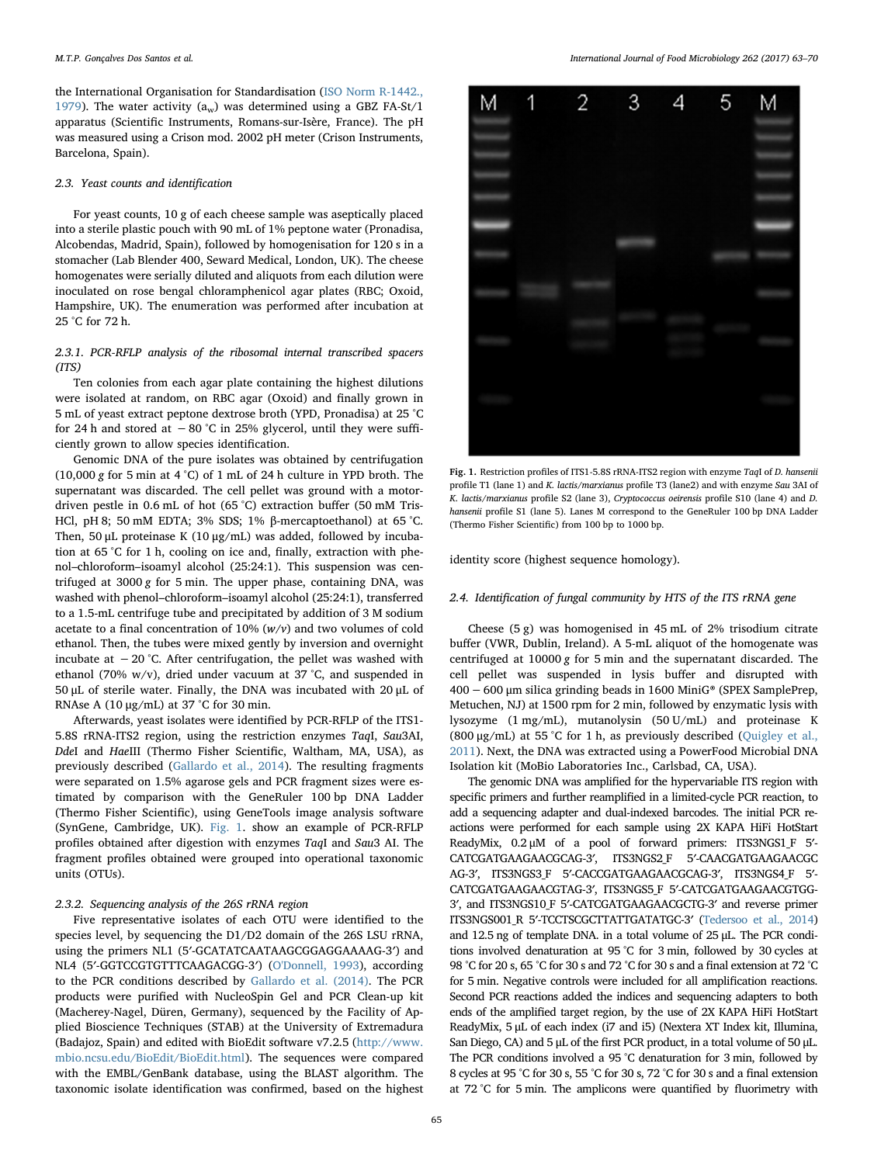the International Organisation for Standardisation ([ISO Norm R-1442.,](#page-7-3) [1979\)](#page-7-3). The water activity ( $a_w$ ) was determined using a GBZ FA-St/1 apparatus (Scientific Instruments, Romans-sur-Isère, France). The pH was measured using a Crison mod. 2002 pH meter (Crison Instruments, Barcelona, Spain).

### 2.3. Yeast counts and identification

For yeast counts, 10 g of each cheese sample was aseptically placed into a sterile plastic pouch with 90 mL of 1% peptone water (Pronadisa, Alcobendas, Madrid, Spain), followed by homogenisation for 120 s in a stomacher (Lab Blender 400, Seward Medical, London, UK). The cheese homogenates were serially diluted and aliquots from each dilution were inoculated on rose bengal chloramphenicol agar plates (RBC; Oxoid, Hampshire, UK). The enumeration was performed after incubation at 25 °C for 72 h.

## 2.3.1. PCR-RFLP analysis of the ribosomal internal transcribed spacers (ITS)

Ten colonies from each agar plate containing the highest dilutions were isolated at random, on RBC agar (Oxoid) and finally grown in 5 mL of yeast extract peptone dextrose broth (YPD, Pronadisa) at 25 °C for 24 h and stored at −80 °C in 25% glycerol, until they were sufficiently grown to allow species identification.

Genomic DNA of the pure isolates was obtained by centrifugation (10,000 g for 5 min at 4 °C) of 1 mL of 24 h culture in YPD broth. The supernatant was discarded. The cell pellet was ground with a motordriven pestle in 0.6 mL of hot (65 °C) extraction buffer (50 mM Tris-HCl, pH 8; 50 mM EDTA; 3% SDS; 1% β-mercaptoethanol) at 65 °C. Then, 50 μL proteinase K (10 μg/mL) was added, followed by incubation at 65 °C for 1 h, cooling on ice and, finally, extraction with phenol–chloroform–isoamyl alcohol (25:24:1). This suspension was centrifuged at  $3000 g$  for 5 min. The upper phase, containing DNA, was washed with phenol–chloroform–isoamyl alcohol (25:24:1), transferred to a 1.5-mL centrifuge tube and precipitated by addition of 3 M sodium acetate to a final concentration of  $10\%$  ( $w/v$ ) and two volumes of cold ethanol. Then, the tubes were mixed gently by inversion and overnight incubate at  $-20$  °C. After centrifugation, the pellet was washed with ethanol (70% w/v), dried under vacuum at 37 °C, and suspended in 50 μL of sterile water. Finally, the DNA was incubated with 20 μL of RNAse A (10 μg/mL) at 37 °C for 30 min.

Afterwards, yeast isolates were identified by PCR-RFLP of the ITS1- 5.8S rRNA-ITS2 region, using the restriction enzymes TaqI, Sau3AI, DdeI and HaeIII (Thermo Fisher Scientific, Waltham, MA, USA), as previously described ([Gallardo et al., 2014\)](#page-6-12). The resulting fragments were separated on 1.5% agarose gels and PCR fragment sizes were estimated by comparison with the GeneRuler 100 bp DNA Ladder (Thermo Fisher Scientific), using GeneTools image analysis software (SynGene, Cambridge, UK). [Fig. 1](#page-2-0). show an example of PCR-RFLP profiles obtained after digestion with enzymes TaqI and Sau3 AI. The fragment profiles obtained were grouped into operational taxonomic units (OTUs).

### 2.3.2. Sequencing analysis of the 26S rRNA region

Five representative isolates of each OTU were identified to the species level, by sequencing the D1/D2 domain of the 26S LSU rRNA, using the primers NL1 (5′-GCATATCAATAAGCGGAGGAAAAG-3′) and NL4 (5′-GGTCCGTGTTTCAAGACGG-3′) ([O'Donnell, 1993\)](#page-7-4), according to the PCR conditions described by [Gallardo et al. \(2014\)](#page-6-12). The PCR products were purified with NucleoSpin Gel and PCR Clean-up kit (Macherey-Nagel, Düren, Germany), sequenced by the Facility of Applied Bioscience Techniques (STAB) at the University of Extremadura (Badajoz, Spain) and edited with BioEdit software v7.2.5 [\(http://www.](http://www.mbio.ncsu.edu/BioEdit/BioEdit.html) [mbio.ncsu.edu/BioEdit/BioEdit.html](http://www.mbio.ncsu.edu/BioEdit/BioEdit.html)). The sequences were compared with the EMBL/GenBank database, using the BLAST algorithm. The taxonomic isolate identification was confirmed, based on the highest

<span id="page-2-0"></span>

Fig. 1. Restriction profiles of ITS1-5.8S rRNA-ITS2 region with enzyme TaqI of D. hansenii profile T1 (lane 1) and K. lactis/marxianus profile T3 (lane2) and with enzyme Sau 3AI of K. lactis/marxianus profile S2 (lane 3), Cryptococcus oeirensis profile S10 (lane 4) and D. hansenii profile S1 (lane 5). Lanes M correspond to the GeneRuler 100 bp DNA Ladder (Thermo Fisher Scientific) from 100 bp to 1000 bp.

identity score (highest sequence homology).

### 2.4. Identification of fungal community by HTS of the ITS rRNA gene

Cheese (5 g) was homogenised in 45 mL of 2% trisodium citrate buffer (VWR, Dublin, Ireland). A 5-mL aliquot of the homogenate was centrifuged at 10000 g for 5 min and the supernatant discarded. The cell pellet was suspended in lysis buffer and disrupted with 400−600 μm silica grinding beads in 1600 MiniG® (SPEX SamplePrep, Metuchen, NJ) at 1500 rpm for 2 min, followed by enzymatic lysis with lysozyme (1 mg/mL), mutanolysin (50 U/mL) and proteinase K (800 μg/mL) at 55 °C for 1 h, as previously described [\(Quigley et al.,](#page-7-5) [2011\)](#page-7-5). Next, the DNA was extracted using a PowerFood Microbial DNA Isolation kit (MoBio Laboratories Inc., Carlsbad, CA, USA).

The genomic DNA was amplified for the hypervariable ITS region with specific primers and further reamplified in a limited-cycle PCR reaction, to add a sequencing adapter and dual-indexed barcodes. The initial PCR reactions were performed for each sample using 2X KAPA HiFi HotStart ReadyMix, 0.2 μM of a pool of forward primers: ITS3NGS1\_F 5′- CATCGATGAAGAACGCAG-3′, ITS3NGS2\_F 5′-CAACGATGAAGAACGC AG-3′, ITS3NGS3\_F 5′-CACCGATGAAGAACGCAG-3′, ITS3NGS4\_F 5′- CATCGATGAAGAACGTAG-3′, ITS3NGS5\_F 5′-CATCGATGAAGAACGTGG-3′, and ITS3NGS10\_F 5′-CATCGATGAAGAACGCTG-3′ and reverse primer ITS3NGS001\_R 5′-TCCTSCGCTTATTGATATGC-3′ [\(Tedersoo et al., 2014\)](#page-7-6) and 12.5 ng of template DNA. in a total volume of 25 μL. The PCR conditions involved denaturation at 95 °C for 3 min, followed by 30 cycles at 98 °C for 20 s, 65 °C for 30 s and 72 °C for 30 s and a final extension at 72 °C for 5 min. Negative controls were included for all amplification reactions. Second PCR reactions added the indices and sequencing adapters to both ends of the amplified target region, by the use of 2X KAPA HiFi HotStart ReadyMix, 5 μL of each index (i7 and i5) (Nextera XT Index kit, Illumina, San Diego, CA) and 5 μL of the first PCR product, in a total volume of 50 μL. The PCR conditions involved a 95 °C denaturation for 3 min, followed by 8 cycles at 95 °C for 30 s, 55 °C for 30 s, 72 °C for 30 s and a final extension at 72 °C for 5 min. The amplicons were quantified by fluorimetry with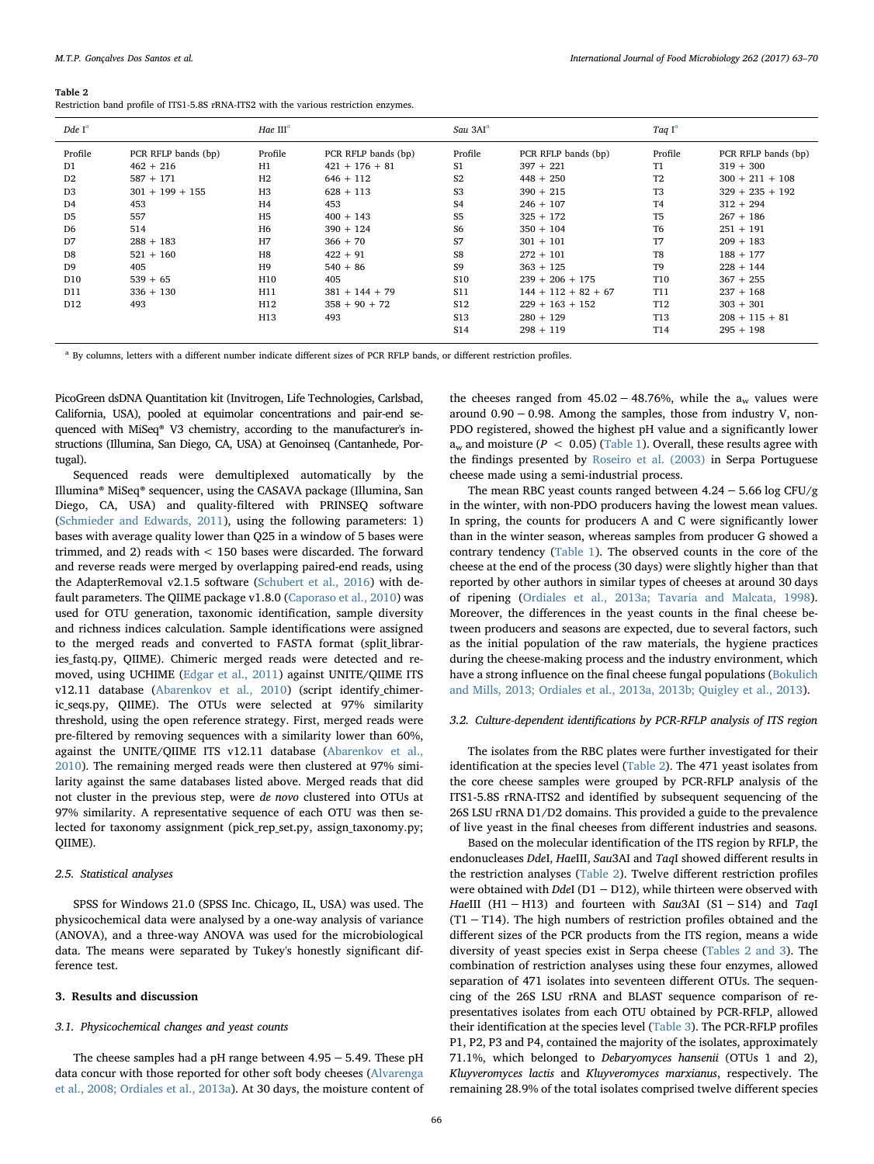### <span id="page-3-0"></span>Table 2

Restriction band profile of ITS1-5.8S rRNA-ITS2 with the various restriction enzymes.

| Dde I <sup>a</sup> |                     | Hae III <sup>a</sup> |                     | Sau 3AI <sup>a</sup> |                       | Taq $I^a$       |                     |
|--------------------|---------------------|----------------------|---------------------|----------------------|-----------------------|-----------------|---------------------|
| Profile            | PCR RFLP bands (bp) | Profile              | PCR RFLP bands (bp) | Profile              | PCR RFLP bands (bp)   | Profile         | PCR RFLP bands (bp) |
| D1                 | $462 + 216$         | H1                   | $421 + 176 + 81$    | S <sub>1</sub>       | $397 + 221$           | T <sub>1</sub>  | $319 + 300$         |
| D <sub>2</sub>     | $587 + 171$         | H <sub>2</sub>       | $646 + 112$         | S <sub>2</sub>       | $448 + 250$           | T <sub>2</sub>  | $300 + 211 + 108$   |
| D <sub>3</sub>     | $301 + 199 + 155$   | H <sub>3</sub>       | $628 + 113$         | S <sub>3</sub>       | $390 + 215$           | T <sub>3</sub>  | $329 + 235 + 192$   |
| D <sub>4</sub>     | 453                 | H <sub>4</sub>       | 453                 | S <sub>4</sub>       | $246 + 107$           | T <sub>4</sub>  | $312 + 294$         |
| D <sub>5</sub>     | 557                 | H <sub>5</sub>       | $400 + 143$         | S <sub>5</sub>       | $325 + 172$           | <b>T5</b>       | $267 + 186$         |
| D <sub>6</sub>     | 514                 | H <sub>6</sub>       | $390 + 124$         | S <sub>6</sub>       | $350 + 104$           | T <sub>6</sub>  | $251 + 191$         |
| D7                 | $288 + 183$         | H7                   | $366 + 70$          | S7                   | $301 + 101$           | T7              | $209 + 183$         |
| D <sub>8</sub>     | $521 + 160$         | H <sub>8</sub>       | $422 + 91$          | S8                   | $272 + 101$           | T <sub>8</sub>  | $188 + 177$         |
| D <sub>9</sub>     | 405                 | H <sub>9</sub>       | $540 + 86$          | S <sub>9</sub>       | $363 + 125$           | T <sub>9</sub>  | $228 + 144$         |
| D <sub>10</sub>    | $539 + 65$          | H <sub>10</sub>      | 405                 | S <sub>10</sub>      | $239 + 206 + 175$     | T <sub>10</sub> | $367 + 255$         |
| D11                | $336 + 130$         | H11                  | $381 + 144 + 79$    | S <sub>11</sub>      | $144 + 112 + 82 + 67$ | T11             | $237 + 168$         |
| D <sub>12</sub>    | 493                 | H12                  | $358 + 90 + 72$     | S <sub>12</sub>      | $229 + 163 + 152$     | T <sub>12</sub> | $303 + 301$         |
|                    |                     | H13                  | 493                 | S13                  | $280 + 129$           | T <sub>13</sub> | $208 + 115 + 81$    |
|                    |                     |                      |                     | S14                  | $298 + 119$           | T14             | $295 + 198$         |

<span id="page-3-1"></span><sup>a</sup> By columns, letters with a different number indicate different sizes of PCR RFLP bands, or different restriction profiles.

PicoGreen dsDNA Quantitation kit (Invitrogen, Life Technologies, Carlsbad, California, USA), pooled at equimolar concentrations and pair-end sequenced with MiSeq® V3 chemistry, according to the manufacturer's instructions (Illumina, San Diego, CA, USA) at Genoinseq (Cantanhede, Portugal).

Sequenced reads were demultiplexed automatically by the Illumina® MiSeq® sequencer, using the CASAVA package (Illumina, San Diego, CA, USA) and quality-filtered with PRINSEQ software ([Schmieder and Edwards, 2011](#page-7-7)), using the following parameters: 1) bases with average quality lower than Q25 in a window of 5 bases were trimmed, and 2) reads with < 150 bases were discarded. The forward and reverse reads were merged by overlapping paired-end reads, using the AdapterRemoval v2.1.5 software ([Schubert et al., 2016](#page-7-8)) with default parameters. The QIIME package v1.8.0 ([Caporaso et al., 2010](#page-6-13)) was used for OTU generation, taxonomic identification, sample diversity and richness indices calculation. Sample identifications were assigned to the merged reads and converted to FASTA format (split\_libraries\_fastq.py, QIIME). Chimeric merged reads were detected and removed, using UCHIME [\(Edgar et al., 2011\)](#page-6-14) against UNITE/QIIME ITS v12.11 database [\(Abarenkov et al., 2010\)](#page-6-15) (script identify\_chimeric\_seqs.py, QIIME). The OTUs were selected at 97% similarity threshold, using the open reference strategy. First, merged reads were pre-filtered by removing sequences with a similarity lower than 60%, against the UNITE/QIIME ITS v12.11 database [\(Abarenkov et al.,](#page-6-15) [2010\)](#page-6-15). The remaining merged reads were then clustered at 97% similarity against the same databases listed above. Merged reads that did not cluster in the previous step, were de novo clustered into OTUs at 97% similarity. A representative sequence of each OTU was then selected for taxonomy assignment (pick\_rep\_set.py, assign\_taxonomy.py; QIIME).

### 2.5. Statistical analyses

SPSS for Windows 21.0 (SPSS Inc. Chicago, IL, USA) was used. The physicochemical data were analysed by a one-way analysis of variance (ANOVA), and a three-way ANOVA was used for the microbiological data. The means were separated by Tukey's honestly significant difference test.

### 3. Results and discussion

### 3.1. Physicochemical changes and yeast counts

The cheese samples had a pH range between 4.95−5.49. These pH data concur with those reported for other soft body cheeses ([Alvarenga](#page-6-16) [et al., 2008; Ordiales et al., 2013a](#page-6-16)). At 30 days, the moisture content of the cheeses ranged from 45.02 − 48.76%, while the  $a_w$  values were around 0.90−0.98. Among the samples, those from industry V, non-PDO registered, showed the highest pH value and a significantly lower  $a_w$  and moisture ( $P < 0.05$ ) ([Table 1\)](#page-1-0). Overall, these results agree with the findings presented by [Roseiro et al. \(2003\)](#page-7-9) in Serpa Portuguese cheese made using a semi-industrial process.

The mean RBC yeast counts ranged between 4.24−5.66 log CFU/g in the winter, with non-PDO producers having the lowest mean values. In spring, the counts for producers A and C were significantly lower than in the winter season, whereas samples from producer G showed a contrary tendency [\(Table 1\)](#page-1-0). The observed counts in the core of the cheese at the end of the process (30 days) were slightly higher than that reported by other authors in similar types of cheeses at around 30 days of ripening ([Ordiales et al., 2013a; Tavaria and Malcata, 1998](#page-7-10)). Moreover, the differences in the yeast counts in the final cheese between producers and seasons are expected, due to several factors, such as the initial population of the raw materials, the hygiene practices during the cheese-making process and the industry environment, which have a strong influence on the final cheese fungal populations ([Bokulich](#page-6-10) [and Mills, 2013; Ordiales et al., 2013a, 2013b; Quigley et al., 2013](#page-6-10)).

### 3.2. Culture-dependent identifications by PCR-RFLP analysis of ITS region

The isolates from the RBC plates were further investigated for their identification at the species level [\(Table 2\)](#page-3-0). The 471 yeast isolates from the core cheese samples were grouped by PCR-RFLP analysis of the ITS1-5.8S rRNA-ITS2 and identified by subsequent sequencing of the 26S LSU rRNA D1/D2 domains. This provided a guide to the prevalence of live yeast in the final cheeses from different industries and seasons.

Based on the molecular identification of the ITS region by RFLP, the endonucleases DdeI, HaeIII, Sau3AI and TaqI showed different results in the restriction analyses [\(Table 2](#page-3-0)). Twelve different restriction profiles were obtained with DdeI (D1 − D12), while thirteen were observed with HaeIII (H1−H13) and fourteen with Sau3AI (S1−S14) and TaqI (T1−T14). The high numbers of restriction profiles obtained and the different sizes of the PCR products from the ITS region, means a wide diversity of yeast species exist in Serpa cheese ([Tables 2 and 3\)](#page-3-0). The combination of restriction analyses using these four enzymes, allowed separation of 471 isolates into seventeen different OTUs. The sequencing of the 26S LSU rRNA and BLAST sequence comparison of representatives isolates from each OTU obtained by PCR-RFLP, allowed their identification at the species level [\(Table 3](#page-4-0)). The PCR-RFLP profiles P1, P2, P3 and P4, contained the majority of the isolates, approximately 71.1%, which belonged to Debaryomyces hansenii (OTUs 1 and 2), Kluyveromyces lactis and Kluyveromyces marxianus, respectively. The remaining 28.9% of the total isolates comprised twelve different species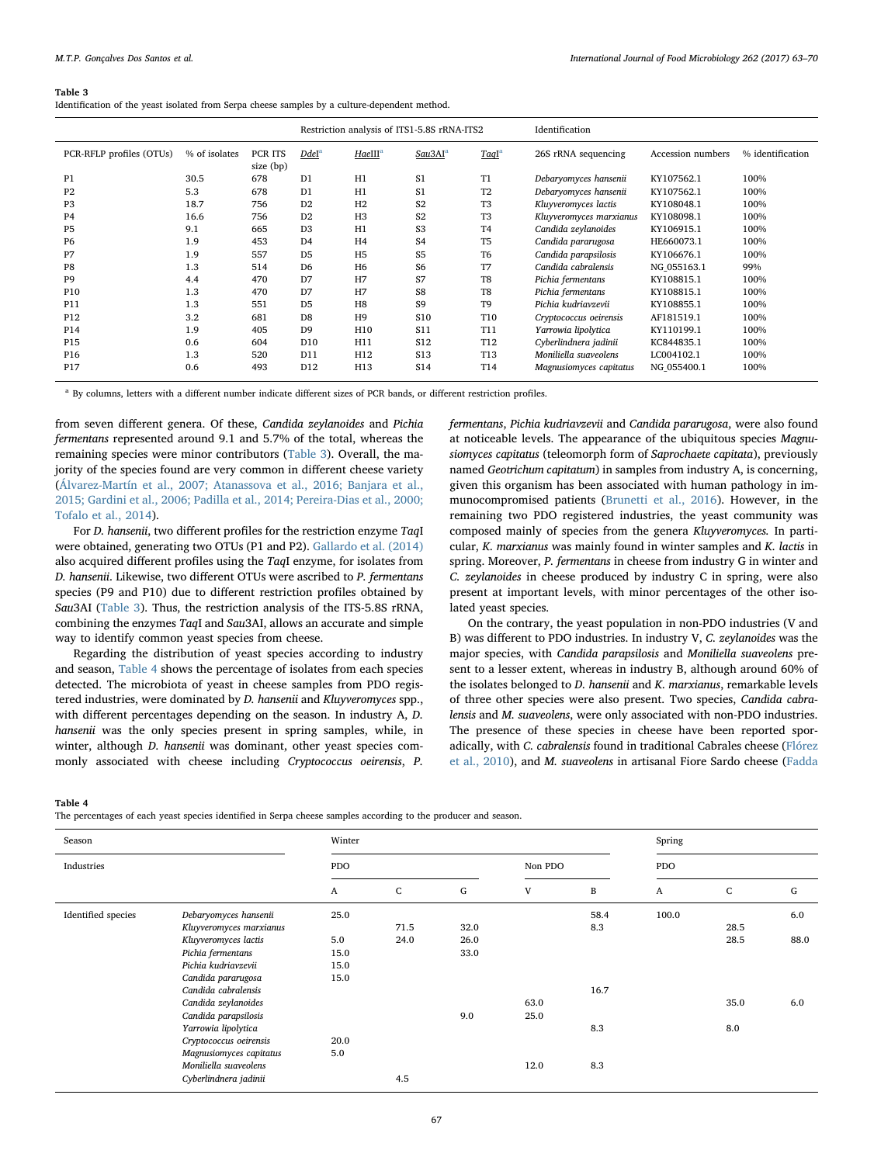#### <span id="page-4-0"></span>Table 3

Identification of the yeast isolated from Serpa cheese samples by a culture-dependent method.

|                          |               |                      | Restriction analysis of ITS1-5.8S rRNA-ITS2 |                     |                     | Identification    |                         |                   |                  |
|--------------------------|---------------|----------------------|---------------------------------------------|---------------------|---------------------|-------------------|-------------------------|-------------------|------------------|
| PCR-RFLP profiles (OTUs) | % of isolates | PCR ITS<br>size (bp) | DdeI <sup>a</sup>                           | HaeIII <sup>a</sup> | Sau3AI <sup>a</sup> | TaqI <sup>a</sup> | 26S rRNA sequencing     | Accession numbers | % identification |
| P1                       | 30.5          | 678                  | D <sub>1</sub>                              | H1                  | S <sub>1</sub>      | T1                | Debaryomyces hansenii   | KY107562.1        | 100%             |
| P <sub>2</sub>           | 5.3           | 678                  | D <sub>1</sub>                              | H1                  | S <sub>1</sub>      | T <sub>2</sub>    | Debaryomyces hansenii   | KY107562.1        | 100%             |
| P <sub>3</sub>           | 18.7          | 756                  | D <sub>2</sub>                              | H2                  | S <sub>2</sub>      | T <sub>3</sub>    | Kluyveromyces lactis    | KY108048.1        | 100%             |
| P <sub>4</sub>           | 16.6          | 756                  | D <sub>2</sub>                              | H <sub>3</sub>      | S <sub>2</sub>      | T <sub>3</sub>    | Kluyveromyces marxianus | KY108098.1        | 100%             |
| P <sub>5</sub>           | 9.1           | 665                  | D <sub>3</sub>                              | H1                  | S <sub>3</sub>      | T <sub>4</sub>    | Candida zeylanoides     | KY106915.1        | 100%             |
| P <sub>6</sub>           | 1.9           | 453                  | D <sub>4</sub>                              | H <sub>4</sub>      | S <sub>4</sub>      | T <sub>5</sub>    | Candida pararugosa      | HE660073.1        | 100%             |
| P7                       | 1.9           | 557                  | D <sub>5</sub>                              | H <sub>5</sub>      | S <sub>5</sub>      | T <sub>6</sub>    | Candida parapsilosis    | KY106676.1        | 100%             |
| P8                       | 1.3           | 514                  | D <sub>6</sub>                              | H <sub>6</sub>      | S <sub>6</sub>      | T7                | Candida cabralensis     | NG 055163.1       | 99%              |
| P <sub>9</sub>           | 4.4           | 470                  | D7                                          | H7                  | S7                  | T8                | Pichia fermentans       | KY108815.1        | 100%             |
| P <sub>10</sub>          | 1.3           | 470                  | D7                                          | H <sub>7</sub>      | S <sub>8</sub>      | T8                | Pichia fermentans       | KY108815.1        | 100%             |
| P11                      | 1.3           | 551                  | D <sub>5</sub>                              | H8                  | S <sub>9</sub>      | T <sub>9</sub>    | Pichia kudriavzevii     | KY108855.1        | 100%             |
| P <sub>12</sub>          | 3.2           | 681                  | D <sub>8</sub>                              | H <sub>9</sub>      | S <sub>10</sub>     | T <sub>10</sub>   | Cryptococcus oeirensis  | AF181519.1        | 100%             |
| P14                      | 1.9           | 405                  | D <sub>9</sub>                              | H10                 | S11                 | T11               | Yarrowia lipolytica     | KY110199.1        | 100%             |
| P15                      | 0.6           | 604                  | D <sub>10</sub>                             | H11                 | S12                 | T <sub>12</sub>   | Cyberlindnera jadinii   | KC844835.1        | 100%             |
| P <sub>16</sub>          | 1.3           | 520                  | D11                                         | H12                 | S <sub>13</sub>     | T <sub>13</sub>   | Moniliella suaveolens   | LC004102.1        | 100%             |
| P17                      | 0.6           | 493                  | D <sub>12</sub>                             | H13                 | S14                 | T14               | Magnusiomyces capitatus | NG 055400.1       | 100%             |

<span id="page-4-2"></span><sup>a</sup> By columns, letters with a different number indicate different sizes of PCR bands, or different restriction profiles.

from seven different genera. Of these, Candida zeylanoides and Pichia fermentans represented around 9.1 and 5.7% of the total, whereas the remaining species were minor contributors [\(Table 3\)](#page-4-0). Overall, the majority of the species found are very common in different cheese variety ([Álvarez-Martín et al., 2007; Atanassova et al., 2016; Banjara et al.,](#page-6-8) [2015; Gardini et al., 2006; Padilla et al., 2014; Pereira-Dias et al., 2000;](#page-6-8) [Tofalo et al., 2014](#page-6-8)).

For D. hansenii, two different profiles for the restriction enzyme TaqI were obtained, generating two OTUs (P1 and P2). [Gallardo et al. \(2014\)](#page-6-12) also acquired different profiles using the TaqI enzyme, for isolates from D. hansenii. Likewise, two different OTUs were ascribed to P. fermentans species (P9 and P10) due to different restriction profiles obtained by Sau3AI ([Table 3\)](#page-4-0). Thus, the restriction analysis of the ITS-5.8S rRNA, combining the enzymes TaqI and Sau3AI, allows an accurate and simple way to identify common yeast species from cheese.

Regarding the distribution of yeast species according to industry and season, [Table 4](#page-4-1) shows the percentage of isolates from each species detected. The microbiota of yeast in cheese samples from PDO registered industries, were dominated by D. hansenii and Kluyveromyces spp., with different percentages depending on the season. In industry A, D. hansenii was the only species present in spring samples, while, in winter, although *D. hansenii* was dominant, other yeast species commonly associated with cheese including Cryptococcus oeirensis, P.

fermentans, Pichia kudriavzevii and Candida pararugosa, were also found at noticeable levels. The appearance of the ubiquitous species Magnusiomyces capitatus (teleomorph form of Saprochaete capitata), previously named Geotrichum capitatum) in samples from industry A, is concerning, given this organism has been associated with human pathology in immunocompromised patients ([Brunetti et al., 2016\)](#page-6-17). However, in the remaining two PDO registered industries, the yeast community was composed mainly of species from the genera Kluyveromyces. In particular, K. marxianus was mainly found in winter samples and K. lactis in spring. Moreover, P. fermentans in cheese from industry G in winter and C. zeylanoides in cheese produced by industry C in spring, were also present at important levels, with minor percentages of the other isolated yeast species.

On the contrary, the yeast population in non-PDO industries (V and B) was different to PDO industries. In industry V, C. zeylanoides was the major species, with Candida parapsilosis and Moniliella suaveolens present to a lesser extent, whereas in industry B, although around 60% of the isolates belonged to D. hansenii and K. marxianus, remarkable levels of three other species were also present. Two species, Candida cabralensis and M. suaveolens, were only associated with non-PDO industries. The presence of these species in cheese have been reported sporadically, with C. cabralensis found in traditional Cabrales cheese ([Flórez](#page-6-18) [et al., 2010](#page-6-18)), and M. suaveolens in artisanal Fiore Sardo cheese [\(Fadda](#page-6-19)

<span id="page-4-1"></span>Table 4

The percentages of each yeast species identified in Serpa cheese samples according to the producer and season.

| Season<br>Industries |                         | Winter     |             |      |      |              | Spring |            |      |
|----------------------|-------------------------|------------|-------------|------|------|--------------|--------|------------|------|
|                      |                         | <b>PDO</b> |             |      |      | Non PDO      |        | <b>PDO</b> |      |
|                      |                         | A          | $\mathsf C$ | G    | V    | $\, {\bf B}$ | A      | C          | G    |
| Identified species   | Debaryomyces hansenii   | 25.0       |             |      |      | 58.4         | 100.0  |            | 6.0  |
|                      | Kluyveromyces marxianus |            | 71.5        | 32.0 |      | 8.3          |        | 28.5       |      |
|                      | Kluyveromyces lactis    | 5.0        | 24.0        | 26.0 |      |              |        | 28.5       | 88.0 |
|                      | Pichia fermentans       | 15.0       |             | 33.0 |      |              |        |            |      |
|                      | Pichia kudriavzevii     | 15.0       |             |      |      |              |        |            |      |
|                      | Candida pararugosa      | 15.0       |             |      |      |              |        |            |      |
|                      | Candida cabralensis     |            |             |      |      | 16.7         |        |            |      |
|                      | Candida zeylanoides     |            |             |      | 63.0 |              |        | 35.0       | 6.0  |
|                      | Candida parapsilosis    |            |             | 9.0  | 25.0 |              |        |            |      |
|                      | Yarrowia lipolytica     |            |             |      |      | 8.3          |        | 8.0        |      |
|                      | Cryptococcus oeirensis  | 20.0       |             |      |      |              |        |            |      |
|                      | Magnusiomyces capitatus | 5.0        |             |      |      |              |        |            |      |
|                      | Moniliella suaveolens   |            |             |      | 12.0 | 8.3          |        |            |      |
|                      | Cyberlindnera jadinii   |            | 4.5         |      |      |              |        |            |      |
|                      |                         |            |             |      |      |              |        |            |      |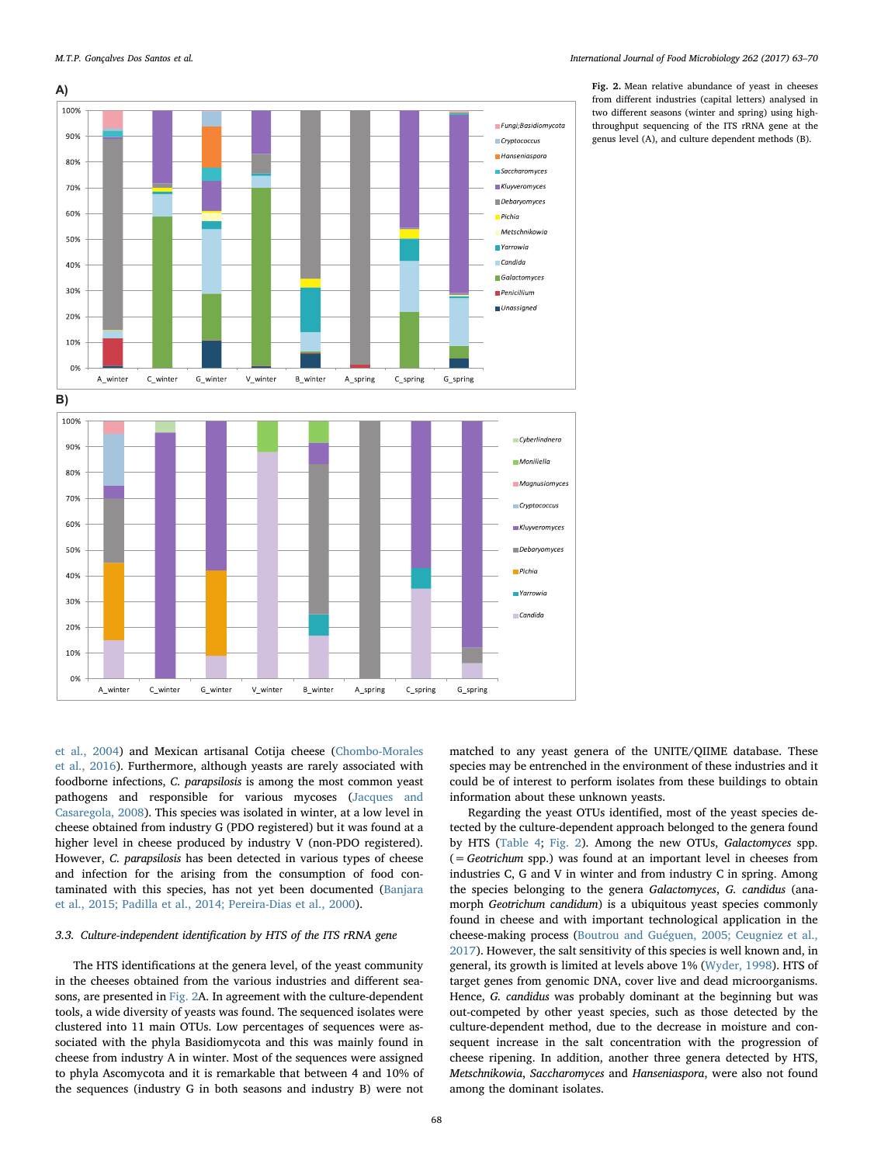

<span id="page-5-0"></span>

Fig. 2. Mean relative abundance of yeast in cheeses from different industries (capital letters) analysed in two different seasons (winter and spring) using highthroughput sequencing of the ITS rRNA gene at the genus level (A), and culture dependent methods (B).

[et al., 2004](#page-6-19)) and Mexican artisanal Cotija cheese ([Chombo-Morales](#page-6-20) [et al., 2016](#page-6-20)). Furthermore, although yeasts are rarely associated with foodborne infections, C. parapsilosis is among the most common yeast pathogens and responsible for various mycoses [\(Jacques and](#page-7-11) [Casaregola, 2008](#page-7-11)). This species was isolated in winter, at a low level in cheese obtained from industry G (PDO registered) but it was found at a higher level in cheese produced by industry V (non-PDO registered). However, C. parapsilosis has been detected in various types of cheese and infection for the arising from the consumption of food contaminated with this species, has not yet been documented ([Banjara](#page-6-4) [et al., 2015; Padilla et al., 2014; Pereira-Dias et al., 2000](#page-6-4)).

### 3.3. Culture-independent identification by HTS of the ITS rRNA gene

The HTS identifications at the genera level, of the yeast community in the cheeses obtained from the various industries and different seasons, are presented in [Fig. 2](#page-5-0)A. In agreement with the culture-dependent tools, a wide diversity of yeasts was found. The sequenced isolates were clustered into 11 main OTUs. Low percentages of sequences were associated with the phyla Basidiomycota and this was mainly found in cheese from industry A in winter. Most of the sequences were assigned to phyla Ascomycota and it is remarkable that between 4 and 10% of the sequences (industry G in both seasons and industry B) were not matched to any yeast genera of the UNITE/QIIME database. These species may be entrenched in the environment of these industries and it could be of interest to perform isolates from these buildings to obtain information about these unknown yeasts.

Regarding the yeast OTUs identified, most of the yeast species detected by the culture-dependent approach belonged to the genera found by HTS ([Table 4;](#page-4-1) [Fig. 2](#page-5-0)). Among the new OTUs, Galactomyces spp. (=Geotrichum spp.) was found at an important level in cheeses from industries C, G and V in winter and from industry C in spring. Among the species belonging to the genera Galactomyces, G. candidus (anamorph Geotrichum candidum) is a ubiquitous yeast species commonly found in cheese and with important technological application in the cheese-making process ([Boutrou and Guéguen, 2005; Ceugniez et al.,](#page-6-21) [2017\)](#page-6-21). However, the salt sensitivity of this species is well known and, in general, its growth is limited at levels above 1% ([Wyder, 1998](#page-7-12)). HTS of target genes from genomic DNA, cover live and dead microorganisms. Hence, G. candidus was probably dominant at the beginning but was out-competed by other yeast species, such as those detected by the culture-dependent method, due to the decrease in moisture and consequent increase in the salt concentration with the progression of cheese ripening. In addition, another three genera detected by HTS, Metschnikowia, Saccharomyces and Hanseniaspora, were also not found among the dominant isolates.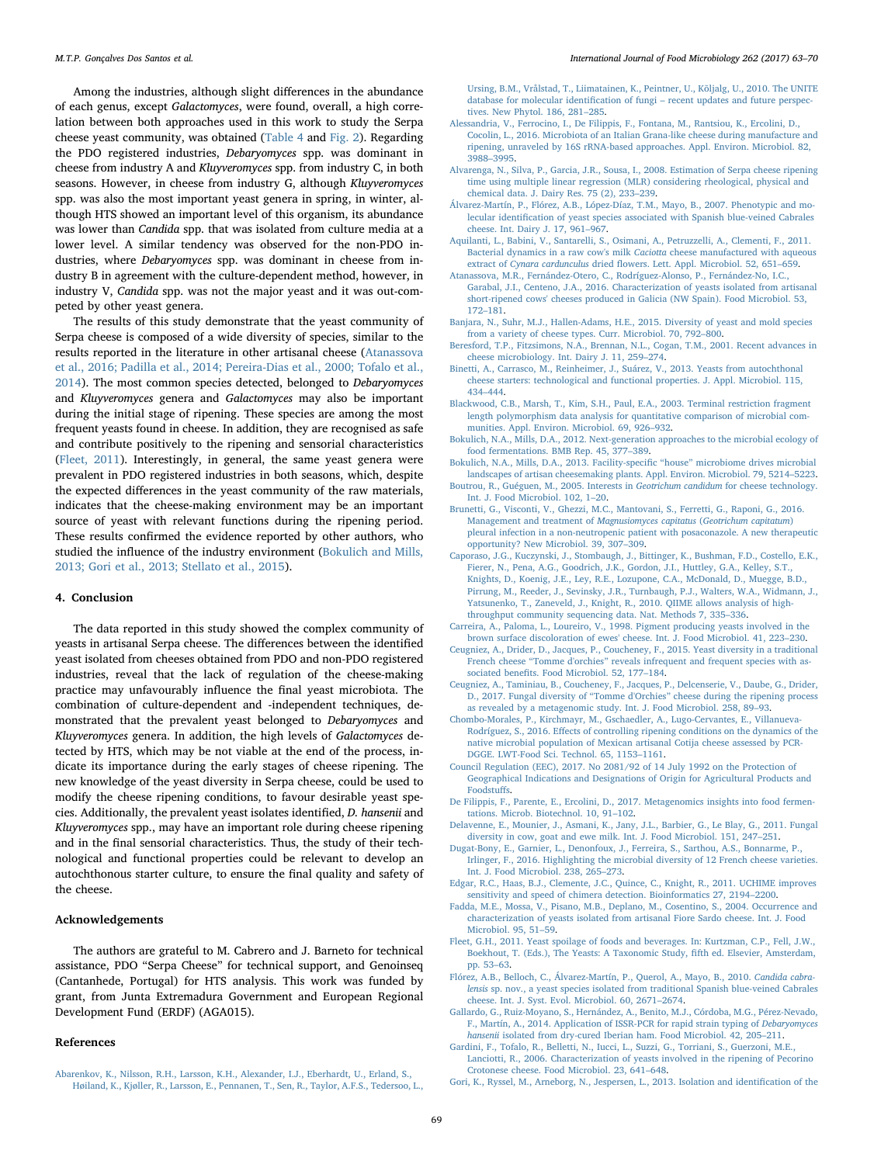Among the industries, although slight differences in the abundance of each genus, except Galactomyces, were found, overall, a high correlation between both approaches used in this work to study the Serpa cheese yeast community, was obtained ([Table 4](#page-4-1) and [Fig. 2\)](#page-5-0). Regarding the PDO registered industries, Debaryomyces spp. was dominant in cheese from industry A and Kluyveromyces spp. from industry C, in both seasons. However, in cheese from industry G, although Kluyveromyces spp. was also the most important yeast genera in spring, in winter, although HTS showed an important level of this organism, its abundance was lower than Candida spp. that was isolated from culture media at a lower level. A similar tendency was observed for the non-PDO industries, where *Debaryomyces* spp. was dominant in cheese from industry B in agreement with the culture-dependent method, however, in industry V, Candida spp. was not the major yeast and it was out-competed by other yeast genera.

The results of this study demonstrate that the yeast community of Serpa cheese is composed of a wide diversity of species, similar to the results reported in the literature in other artisanal cheese ([Atanassova](#page-6-22) [et al., 2016; Padilla et al., 2014; Pereira-Dias et al., 2000; Tofalo et al.,](#page-6-22) [2014\)](#page-6-22). The most common species detected, belonged to Debaryomyces and Kluyveromyces genera and Galactomyces may also be important during the initial stage of ripening. These species are among the most frequent yeasts found in cheese. In addition, they are recognised as safe and contribute positively to the ripening and sensorial characteristics ([Fleet, 2011\)](#page-6-23). Interestingly, in general, the same yeast genera were prevalent in PDO registered industries in both seasons, which, despite the expected differences in the yeast community of the raw materials, indicates that the cheese-making environment may be an important source of yeast with relevant functions during the ripening period. These results confirmed the evidence reported by other authors, who studied the influence of the industry environment ([Bokulich and Mills,](#page-6-10) [2013; Gori et al., 2013; Stellato et al., 2015](#page-6-10)).

### 4. Conclusion

The data reported in this study showed the complex community of yeasts in artisanal Serpa cheese. The differences between the identified yeast isolated from cheeses obtained from PDO and non-PDO registered industries, reveal that the lack of regulation of the cheese-making practice may unfavourably influence the final yeast microbiota. The combination of culture-dependent and -independent techniques, demonstrated that the prevalent yeast belonged to Debaryomyces and Kluyveromyces genera. In addition, the high levels of Galactomyces detected by HTS, which may be not viable at the end of the process, indicate its importance during the early stages of cheese ripening. The new knowledge of the yeast diversity in Serpa cheese, could be used to modify the cheese ripening conditions, to favour desirable yeast species. Additionally, the prevalent yeast isolates identified, D. hansenii and Kluyveromyces spp., may have an important role during cheese ripening and in the final sensorial characteristics. Thus, the study of their technological and functional properties could be relevant to develop an autochthonous starter culture, to ensure the final quality and safety of the cheese.

### Acknowledgements

The authors are grateful to M. Cabrero and J. Barneto for technical assistance, PDO "Serpa Cheese" for technical support, and Genoinseq (Cantanhede, Portugal) for HTS analysis. This work was funded by grant, from Junta Extremadura Government and European Regional Development Fund (ERDF) (AGA015).

### References

<span id="page-6-15"></span>[Abarenkov, K., Nilsson, R.H., Larsson, K.H., Alexander, I.J., Eberhardt, U., Erland, S.,](http://refhub.elsevier.com/S0168-1605(17)30401-4/rf0005) [Høiland, K., Kjøller, R., Larsson, E., Pennanen, T., Sen, R., Taylor, A.F.S., Tedersoo, L.,](http://refhub.elsevier.com/S0168-1605(17)30401-4/rf0005) [Ursing, B.M., Vrålstad, T., Liimatainen, K., Peintner, U., Kõljalg, U., 2010. The UNITE](http://refhub.elsevier.com/S0168-1605(17)30401-4/rf0005) database for molecular identification of fungi – [recent updates and future perspec](http://refhub.elsevier.com/S0168-1605(17)30401-4/rf0005)[tives. New Phytol. 186, 281](http://refhub.elsevier.com/S0168-1605(17)30401-4/rf0005)–285.

- <span id="page-6-7"></span>[Alessandria, V., Ferrocino, I., De Filippis, F., Fontana, M., Rantsiou, K., Ercolini, D.,](http://refhub.elsevier.com/S0168-1605(17)30401-4/rf0010) [Cocolin, L., 2016. Microbiota of an Italian Grana-like cheese during manufacture and](http://refhub.elsevier.com/S0168-1605(17)30401-4/rf0010) [ripening, unraveled by 16S rRNA-based approaches. Appl. Environ. Microbiol. 82,](http://refhub.elsevier.com/S0168-1605(17)30401-4/rf0010) 3988–[3995](http://refhub.elsevier.com/S0168-1605(17)30401-4/rf0010).
- <span id="page-6-16"></span>[Alvarenga, N., Silva, P., Garcia, J.R., Sousa, I., 2008. Estimation of Serpa cheese ripening](http://refhub.elsevier.com/S0168-1605(17)30401-4/rf0015) [time using multiple linear regression \(MLR\) considering rheological, physical and](http://refhub.elsevier.com/S0168-1605(17)30401-4/rf0015) [chemical data. J. Dairy Res. 75 \(2\), 233](http://refhub.elsevier.com/S0168-1605(17)30401-4/rf0015)–239.
- <span id="page-6-8"></span>[Álvarez-Martín, P., Flórez, A.B., López-Díaz, T.M., Mayo, B., 2007. Phenotypic and mo](http://refhub.elsevier.com/S0168-1605(17)30401-4/rf0020)lecular identifi[cation of yeast species associated with Spanish blue-veined Cabrales](http://refhub.elsevier.com/S0168-1605(17)30401-4/rf0020) [cheese. Int. Dairy J. 17, 961](http://refhub.elsevier.com/S0168-1605(17)30401-4/rf0020)–967.
- <span id="page-6-1"></span>[Aquilanti, L., Babini, V., Santarelli, S., Osimani, A., Petruzzelli, A., Clementi, F., 2011.](http://refhub.elsevier.com/S0168-1605(17)30401-4/rf0025) [Bacterial dynamics in a raw cow's milk](http://refhub.elsevier.com/S0168-1605(17)30401-4/rf0025) Caciotta cheese manufactured with aqueous extract of Cynara cardunculus dried fl[owers. Lett. Appl. Microbiol. 52, 651](http://refhub.elsevier.com/S0168-1605(17)30401-4/rf0025)–659.
- <span id="page-6-22"></span>[Atanassova, M.R., Fernández-Otero, C., Rodríguez-Alonso, P., Fernández-No, I.C.,](http://refhub.elsevier.com/S0168-1605(17)30401-4/rf0030) [Garabal, J.I., Centeno, J.A., 2016. Characterization of yeasts isolated from artisanal](http://refhub.elsevier.com/S0168-1605(17)30401-4/rf0030) [short-ripened cows' cheeses produced in Galicia \(NW Spain\). Food Microbiol. 53,](http://refhub.elsevier.com/S0168-1605(17)30401-4/rf0030) 172–[181](http://refhub.elsevier.com/S0168-1605(17)30401-4/rf0030).
- <span id="page-6-4"></span>[Banjara, N., Suhr, M.J., Hallen-Adams, H.E., 2015. Diversity of yeast and mold species](http://refhub.elsevier.com/S0168-1605(17)30401-4/rf0035) [from a variety of cheese types. Curr. Microbiol. 70, 792](http://refhub.elsevier.com/S0168-1605(17)30401-4/rf0035)–800.
- <span id="page-6-2"></span>[Beresford, T.P., Fitzsimons, N.A., Brennan, N.L., Cogan, T.M., 2001. Recent advances in](http://refhub.elsevier.com/S0168-1605(17)30401-4/rf0040) [cheese microbiology. Int. Dairy J. 11, 259](http://refhub.elsevier.com/S0168-1605(17)30401-4/rf0040)–274.
- [Binetti, A., Carrasco, M., Reinheimer, J., Suárez, V., 2013. Yeasts from autochthonal](http://refhub.elsevier.com/S0168-1605(17)30401-4/rf0045) [cheese starters: technological and functional properties. J. Appl. Microbiol. 115,](http://refhub.elsevier.com/S0168-1605(17)30401-4/rf0045) 434–[444](http://refhub.elsevier.com/S0168-1605(17)30401-4/rf0045).
- [Blackwood, C.B., Marsh, T., Kim, S.H., Paul, E.A., 2003. Terminal restriction fragment](http://refhub.elsevier.com/S0168-1605(17)30401-4/rf0050) [length polymorphism data analysis for quantitative comparison of microbial com](http://refhub.elsevier.com/S0168-1605(17)30401-4/rf0050)[munities. Appl. Environ. Microbiol. 69, 926](http://refhub.elsevier.com/S0168-1605(17)30401-4/rf0050)–932.
- <span id="page-6-11"></span>[Bokulich, N.A., Mills, D.A., 2012. Next-generation approaches to the microbial ecology of](http://refhub.elsevier.com/S0168-1605(17)30401-4/rf0055) [food fermentations. BMB Rep. 45, 377](http://refhub.elsevier.com/S0168-1605(17)30401-4/rf0055)–389.

<span id="page-6-10"></span>[Bokulich, N.A., Mills, D.A., 2013. Facility-speci](http://refhub.elsevier.com/S0168-1605(17)30401-4/rf0060)fic "house" microbiome drives microbial [landscapes of artisan cheesemaking plants. Appl. Environ. Microbiol. 79, 5214](http://refhub.elsevier.com/S0168-1605(17)30401-4/rf0060)–5223. [Boutrou, R., Guéguen, M., 2005. Interests in](http://refhub.elsevier.com/S0168-1605(17)30401-4/rf0065) Geotrichum candidum for cheese technology.

- <span id="page-6-21"></span><span id="page-6-17"></span>[Int. J. Food Microbiol. 102, 1](http://refhub.elsevier.com/S0168-1605(17)30401-4/rf0065)–20. [Brunetti, G., Visconti, V., Ghezzi, M.C., Mantovani, S., Ferretti, G., Raponi, G., 2016.](http://refhub.elsevier.com/S0168-1605(17)30401-4/rf0070)
- [Management and treatment of](http://refhub.elsevier.com/S0168-1605(17)30401-4/rf0070) Magnusiomyces capitatus (Geotrichum capitatum) [pleural infection in a non-neutropenic patient with posaconazole. A new therapeutic](http://refhub.elsevier.com/S0168-1605(17)30401-4/rf0070) opportunity? [New Microbiol. 39, 307](http://refhub.elsevier.com/S0168-1605(17)30401-4/rf0070)–309.
- <span id="page-6-13"></span>[Caporaso, J.G., Kuczynski, J., Stombaugh, J., Bittinger, K., Bushman, F.D., Costello, E.K.,](http://refhub.elsevier.com/S0168-1605(17)30401-4/rf0075) [Fierer, N., Pena, A.G., Goodrich, J.K., Gordon, J.I., Huttley, G.A., Kelley, S.T.,](http://refhub.elsevier.com/S0168-1605(17)30401-4/rf0075) [Knights, D., Koenig, J.E., Ley, R.E., Lozupone, C.A., McDonald, D., Muegge, B.D.,](http://refhub.elsevier.com/S0168-1605(17)30401-4/rf0075) [Pirrung, M., Reeder, J., Sevinsky, J.R., Turnbaugh, P.J., Walters, W.A., Widmann, J.,](http://refhub.elsevier.com/S0168-1605(17)30401-4/rf0075) [Yatsunenko, T., Zaneveld, J., Knight, R., 2010. QIIME allows analysis of high](http://refhub.elsevier.com/S0168-1605(17)30401-4/rf0075)[throughput community sequencing data. Nat. Methods 7, 335](http://refhub.elsevier.com/S0168-1605(17)30401-4/rf0075)–336.
- <span id="page-6-6"></span>[Carreira, A., Paloma, L., Loureiro, V., 1998. Pigment producing yeasts involved in the](http://refhub.elsevier.com/S0168-1605(17)30401-4/rf0080) [brown surface discoloration of ewes' cheese. Int. J. Food Microbiol. 41, 223](http://refhub.elsevier.com/S0168-1605(17)30401-4/rf0080)–230.
- [Ceugniez, A., Drider, D., Jacques, P., Coucheney, F., 2015. Yeast diversity in a traditional](http://refhub.elsevier.com/S0168-1605(17)30401-4/rf0085) French cheese "Tomme d'orchies" [reveals infrequent and frequent species with as](http://refhub.elsevier.com/S0168-1605(17)30401-4/rf0085)sociated benefi[ts. Food Microbiol. 52, 177](http://refhub.elsevier.com/S0168-1605(17)30401-4/rf0085)–184.
- [Ceugniez, A., Taminiau, B., Coucheney, F., Jacques, P., Delcenserie, V., Daube, G., Drider,](http://refhub.elsevier.com/S0168-1605(17)30401-4/rf0090) D., 2017. Fungal diversity of "Tomme d'Orchies" [cheese during the ripening process](http://refhub.elsevier.com/S0168-1605(17)30401-4/rf0090) [as revealed by a metagenomic study. Int. J. Food Microbiol. 258, 89](http://refhub.elsevier.com/S0168-1605(17)30401-4/rf0090)–93.
- <span id="page-6-20"></span>[Chombo-Morales, P., Kirchmayr, M., Gschaedler, A., Lugo-Cervantes, E., Villanueva-](http://refhub.elsevier.com/S0168-1605(17)30401-4/rf0095)Rodríguez, S., 2016. Eff[ects of controlling ripening conditions on the dynamics of the](http://refhub.elsevier.com/S0168-1605(17)30401-4/rf0095) [native microbial population of Mexican artisanal Cotija cheese assessed by PCR-](http://refhub.elsevier.com/S0168-1605(17)30401-4/rf0095)[DGGE. LWT-Food Sci. Technol. 65, 1153](http://refhub.elsevier.com/S0168-1605(17)30401-4/rf0095)–1161.
- <span id="page-6-0"></span>[Council Regulation \(EEC\), 2017. No 2081/92 of 14 July 1992 on the Protection of](http://refhub.elsevier.com/S0168-1605(17)30401-4/rf0100) [Geographical Indications and Designations of Origin for Agricultural Products and](http://refhub.elsevier.com/S0168-1605(17)30401-4/rf0100) [Foodstu](http://refhub.elsevier.com/S0168-1605(17)30401-4/rf0100)ffs.
- <span id="page-6-9"></span>[De Filippis, F., Parente, E., Ercolini, D., 2017. Metagenomics insights into food fermen](http://refhub.elsevier.com/S0168-1605(17)30401-4/rf0105)[tations. Microb. Biotechnol. 10, 91](http://refhub.elsevier.com/S0168-1605(17)30401-4/rf0105)–102.
- <span id="page-6-3"></span>[Delavenne, E., Mounier, J., Asmani, K., Jany, J.L., Barbier, G., Le Blay, G., 2011. Fungal](http://refhub.elsevier.com/S0168-1605(17)30401-4/rf0110) [diversity in cow, goat and ewe milk. Int. J. Food Microbiol. 151, 247](http://refhub.elsevier.com/S0168-1605(17)30401-4/rf0110)–251.
- <span id="page-6-5"></span>[Dugat-Bony, E., Garnier, L., Denonfoux, J., Ferreira, S., Sarthou, A.S., Bonnarme, P.,](http://refhub.elsevier.com/S0168-1605(17)30401-4/rf0115) [Irlinger, F., 2016. Highlighting the microbial diversity of 12 French cheese varieties.](http://refhub.elsevier.com/S0168-1605(17)30401-4/rf0115) [Int. J. Food Microbiol. 238, 265](http://refhub.elsevier.com/S0168-1605(17)30401-4/rf0115)–273.
- <span id="page-6-14"></span>[Edgar, R.C., Haas, B.J., Clemente, J.C., Quince, C., Knight, R., 2011. UCHIME improves](http://refhub.elsevier.com/S0168-1605(17)30401-4/rf0120) [sensitivity and speed of chimera detection. Bioinformatics 27, 2194](http://refhub.elsevier.com/S0168-1605(17)30401-4/rf0120)–2200.
- <span id="page-6-19"></span>[Fadda, M.E., Mossa, V., Pisano, M.B., Deplano, M., Cosentino, S., 2004. Occurrence and](http://refhub.elsevier.com/S0168-1605(17)30401-4/rf0125) [characterization of yeasts isolated from artisanal Fiore Sardo cheese. Int. J. Food](http://refhub.elsevier.com/S0168-1605(17)30401-4/rf0125) [Microbiol. 95, 51](http://refhub.elsevier.com/S0168-1605(17)30401-4/rf0125)–59.
- <span id="page-6-23"></span>[Fleet, G.H., 2011. Yeast spoilage of foods and beverages. In: Kurtzman, C.P., Fell, J.W.,](http://refhub.elsevier.com/S0168-1605(17)30401-4/rf0130) [Boekhout, T. \(Eds.\), The Yeasts: A Taxonomic Study,](http://refhub.elsevier.com/S0168-1605(17)30401-4/rf0130) fifth ed. Elsevier, Amsterdam, [pp. 53](http://refhub.elsevier.com/S0168-1605(17)30401-4/rf0130)–63.
- <span id="page-6-18"></span>[Flórez, A.B., Belloch, C., Álvarez-Martín, P., Querol, A., Mayo, B., 2010.](http://refhub.elsevier.com/S0168-1605(17)30401-4/rf0135) Candida cabralensis [sp. nov., a yeast species isolated from traditional Spanish blue-veined Cabrales](http://refhub.elsevier.com/S0168-1605(17)30401-4/rf0135) [cheese. Int. J. Syst. Evol. Microbiol. 60, 2671](http://refhub.elsevier.com/S0168-1605(17)30401-4/rf0135)–2674.
- <span id="page-6-12"></span>[Gallardo, G., Ruiz-Moyano, S., Hernández, A., Benito, M.J., Córdoba, M.G., Pérez-Nevado,](http://refhub.elsevier.com/S0168-1605(17)30401-4/rf0140) [F., Martín, A., 2014. Application of ISSR-PCR for rapid strain typing of](http://refhub.elsevier.com/S0168-1605(17)30401-4/rf0140) Debaryomyces hansenii isolated [from dry-cured Iberian ham. Food Microbiol. 42, 205](http://refhub.elsevier.com/S0168-1605(17)30401-4/rf0140)–211.
- [Gardini, F., Tofalo, R., Belletti, N., Iucci, L., Suzzi, G., Torriani, S., Guerzoni, M.E.,](http://refhub.elsevier.com/S0168-1605(17)30401-4/rf0145) [Lanciotti, R., 2006. Characterization of yeasts involved in the ripening of Pecorino](http://refhub.elsevier.com/S0168-1605(17)30401-4/rf0145) [Crotonese cheese. Food Microbiol. 23, 641](http://refhub.elsevier.com/S0168-1605(17)30401-4/rf0145)–648.
- [Gori, K., Ryssel, M., Arneborg, N., Jespersen, L., 2013. Isolation and identi](http://refhub.elsevier.com/S0168-1605(17)30401-4/rf0150)fication of the